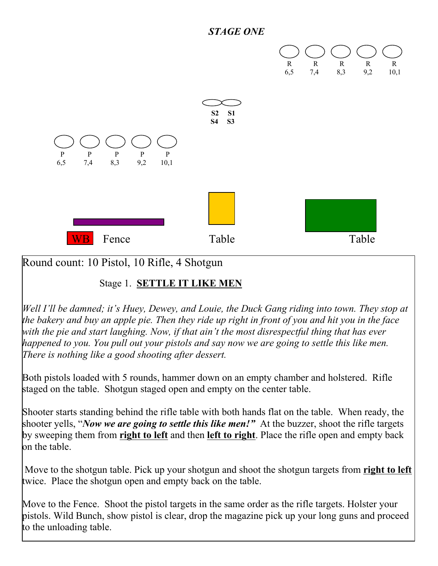



Round count: 10 Pistol, 10 Rifle, 4 Shotgun

### Stage 1. **SETTLE IT LIKE MEN**

*Well I'll be damned; it's Huey, Dewey, and Louie, the Duck Gang riding into town. They stop at the bakery and buy an apple pie. Then they ride up right in front of you and hit you in the face with the pie and start laughing. Now, if that ain't the most disrespectful thing that has ever happened to you. You pull out your pistols and say now we are going to settle this like men. There is nothing like a good shooting after dessert.*

Both pistols loaded with 5 rounds, hammer down on an empty chamber and holstered. Rifle staged on the table. Shotgun staged open and empty on the center table.

Shooter starts standing behind the rifle table with both hands flat on the table. When ready, the shooter yells, "*Now we are going to settle this like men!"* At the buzzer, shoot the rifle targets by sweeping them from **right to left** and then **left to right**. Place the rifle open and empty back on the table.

 Move to the shotgun table. Pick up your shotgun and shoot the shotgun targets from **right to left** twice. Place the shotgun open and empty back on the table.

Move to the Fence. Shoot the pistol targets in the same order as the rifle targets. Holster your pistols. Wild Bunch, show pistol is clear, drop the magazine pick up your long guns and proceed to the unloading table.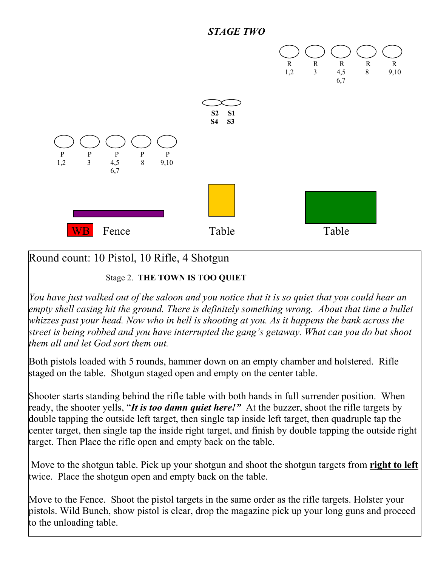



## Round count: 10 Pistol, 10 Rifle, 4 Shotgun

#### Stage 2. **THE TOWN IS TOO QUIET**

*You have just walked out of the saloon and you notice that it is so quiet that you could hear an empty shell casing hit the ground. There is definitely something wrong. About that time a bullet whizzes past your head. Now who in hell is shooting at you. As it happens the bank across the street is being robbed and you have interrupted the gang's getaway. What can you do but shoot them all and let God sort them out.*

Both pistols loaded with 5 rounds, hammer down on an empty chamber and holstered. Rifle staged on the table. Shotgun staged open and empty on the center table.

Shooter starts standing behind the rifle table with both hands in full surrender position. When ready, the shooter yells, "*It is too damn quiet here!"* At the buzzer, shoot the rifle targets by double tapping the outside left target, then single tap inside left target, then quadruple tap the center target, then single tap the inside right target, and finish by double tapping the outside right target. Then Place the rifle open and empty back on the table.

 Move to the shotgun table. Pick up your shotgun and shoot the shotgun targets from **right to left** twice. Place the shotgun open and empty back on the table.

Move to the Fence. Shoot the pistol targets in the same order as the rifle targets. Holster your pistols. Wild Bunch, show pistol is clear, drop the magazine pick up your long guns and proceed to the unloading table.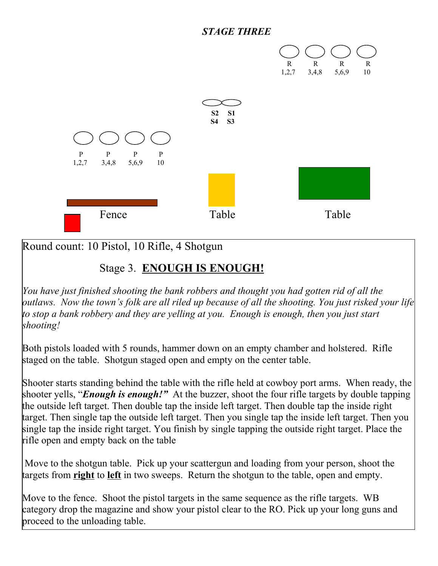#### *STAGE THREE*



Round count: 10 Pistol, 10 Rifle, 4 Shotgun

## Stage 3. **ENOUGH IS ENOUGH!**

*You have just finished shooting the bank robbers and thought you had gotten rid of all the outlaws. Now the town's folk are all riled up because of all the shooting. You just risked your life to stop a bank robbery and they are yelling at you. Enough is enough, then you just start shooting!*

Both pistols loaded with 5 rounds, hammer down on an empty chamber and holstered. Rifle staged on the table. Shotgun staged open and empty on the center table.

Shooter starts standing behind the table with the rifle held at cowboy port arms. When ready, the shooter yells, "*Enough is enough!"* At the buzzer, shoot the four rifle targets by double tapping the outside left target. Then double tap the inside left target. Then double tap the inside right target. Then single tap the outside left target. Then you single tap the inside left target. Then you single tap the inside right target. You finish by single tapping the outside right target. Place the rifle open and empty back on the table

 Move to the shotgun table. Pick up your scattergun and loading from your person, shoot the targets from **right** to **left** in two sweeps. Return the shotgun to the table, open and empty.

Move to the fence. Shoot the pistol targets in the same sequence as the rifle targets. WB category drop the magazine and show your pistol clear to the RO. Pick up your long guns and proceed to the unloading table.